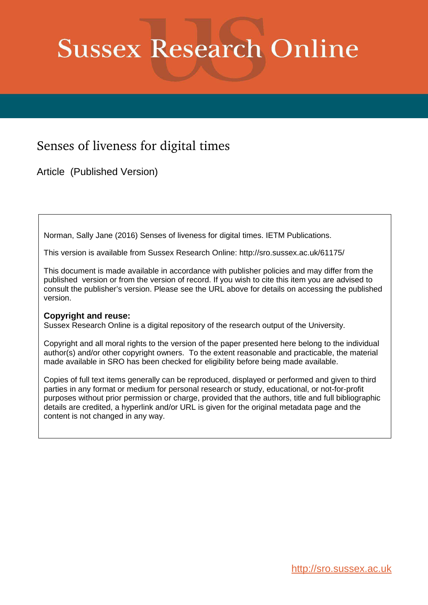## **Sussex Research Online**

### Senses of liveness for digital times

Article (Published Version)

Norman, Sally Jane (2016) Senses of liveness for digital times. IETM Publications.

This version is available from Sussex Research Online: http://sro.sussex.ac.uk/61175/

This document is made available in accordance with publisher policies and may differ from the published version or from the version of record. If you wish to cite this item you are advised to consult the publisher's version. Please see the URL above for details on accessing the published version.

#### **Copyright and reuse:**

Sussex Research Online is a digital repository of the research output of the University.

Copyright and all moral rights to the version of the paper presented here belong to the individual author(s) and/or other copyright owners. To the extent reasonable and practicable, the material made available in SRO has been checked for eligibility before being made available.

Copies of full text items generally can be reproduced, displayed or performed and given to third parties in any format or medium for personal research or study, educational, or not-for-profit purposes without prior permission or charge, provided that the authors, title and full bibliographic details are credited, a hyperlink and/or URL is given for the original metadata page and the content is not changed in any way.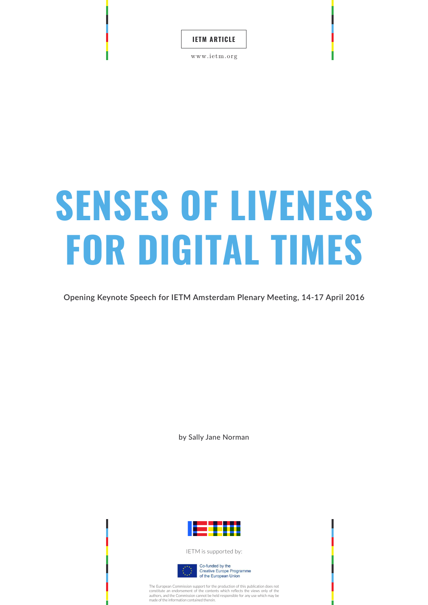www.ietm.org

# **SENSES OF LIVENESS FOR DIGITAL TIMES**

**Opening Keynote Speech for IETM Amsterdam Plenary Meeting, 14-17 April 2016**

by Sally Jane Norman



IETM is supported by:



The European Commission support for the production of this publication does not<br>constitute an endorsement of the contents which reflects the views only of the<br>authors, and the Commission cannot be held responsible for any made of the information contained therein.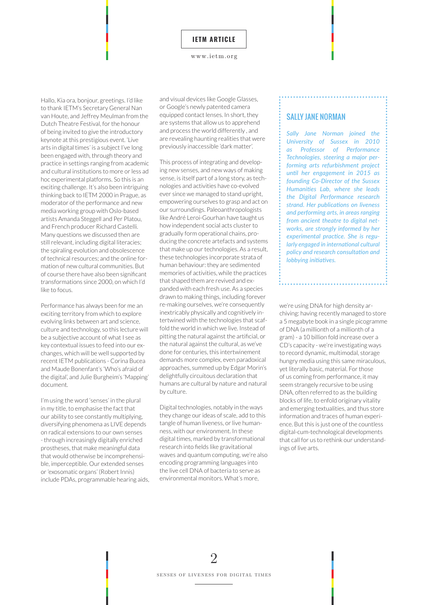Hallo, Kia ora, bonjour, greetings. I'd like to thank IETM's Secretary General Nan van Houte, and Jeffrey Meulman from the Dutch Theatre Festival, for the honour of being invited to give the introductory keynote at this prestigious event. 'Live arts in digital times' is a subject I've long been engaged with, through theory and practice in settings ranging from academic and cultural institutions to more or less ad hoc experimental platforms. So this is an exciting challenge. It's also been intriguing thinking back to IETM 2000 in Prague, as moderator of the performance and new media working group with Oslo-based artists Amanda Steggell and Per Platou, and French producer Richard Castelli. Many questions we discussed then are still relevant, including digital literacies; the spiraling evolution and obsolescence of technical resources; and the online formation of new cultural communities. But of course there have also been significant transformations since 2000, on which I'd like to focus.

Performance has always been for me an exciting territory from which to explore evolving links between art and science, culture and technology, so this lecture will be a subjective account of what I see as key contextual issues to feed into our exchanges, which will be well supported by recent IETM publications - Corina Bucea and Maude Bonenfant's 'Who's afraid of the digital', and Julie Burgheim's 'Mapping' document.

I'm using the word 'senses' in the plural in my title, to emphasise the fact that our ability to see constantly multiplying, diversifying phenomena as LIVE depends on radical extensions to our own senses - through increasingly digitally enriched prostheses, that make meaningful data that would otherwise be incomprehensible, imperceptible. Our extended senses or 'exosomatic organs' (Robert Innis) include PDAs, programmable hearing aids,

and visual devices like Google Glasses, or Google's newly patented camera equipped contact lenses. In short, they are systems that allow us to apprehend and process the world differently , and are revealing haunting realities that were previously inaccessible 'dark matter'.

This process of integrating and developing new senses, and new ways of making sense, is itself part of a long story, as technologies and activities have co-evolved ever since we managed to stand upright, empowering ourselves to grasp and act on our surroundings. Paleoanthropologists like André Leroi-Gourhan have taught us how independent social acts cluster to gradually form operational chains, producing the concrete artefacts and systems that make up our technologies. As a result, these technologies incorporate strata of human behaviour: they are sedimented memories of activities, while the practices that shaped them are revived and expanded with each fresh use. As a species drawn to making things, including forever re-making ourselves, we're consequently inextricably physically and cognitively intertwined with the technologies that scaffold the world in which we live. Instead of pitting the natural against the artificial, or the natural against the cultural, as we've done for centuries, this intertwinement demands more complex, even paradoxical approaches, summed up by Edgar Morin's delightfully circuitous declaration that humans are cultural by nature and natural by culture.

Digital technologies, notably in the ways they change our ideas of scale, add to this tangle of human liveness, or live humanness, with our environment. In these digital times, marked by transformational research into fields like gravitational waves and quantum computing, we're also encoding programming languages into the live cell DNA of bacteria to serve as environmental monitors. What's more,

#### SALLY JANE NORMAN

*Sally Jane Norman joined the University of Sussex in 2010 as Professor of Performance Technologies, steering a major performing arts refurbishment project unil her engagement in 2015 as founding Co-Director of the Sussex Humaniies Lab, where she leads the Digital Performance research strand. Her publicaions on liveness and performing arts, in areas ranging from ancient theatre to digital networks, are strongly informed by her experimental pracice. She is regularly engaged in internaional cultural policy and research consultaion and lobbying initiatives.* 

we're using DNA for high density archiving: having recently managed to store a 5 megabyte book in a single picogramme of DNA (a millionth of a millionth of a gram) - a 10 billion fold increase over a CD's capacity - we're investigating ways to record dynamic, multimodal, storage hungry media using this same miraculous, yet literally basic, material. For those of us coming from performance, it may seem strangely recursive to be using DNA, often referred to as the building blocks of life, to enfold originary vitality and emerging textualities, and thus store information and traces of human experience. But this is just one of the countless digital-cum-technological developments that call for us to rethink our understandings of live arts.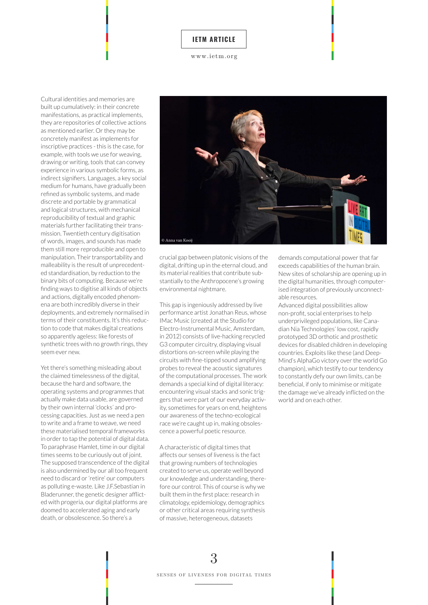#### www.ietm.org

Cultural identities and memories are built up cumulatively: in their concrete manifestations, as practical implements, they are repositories of collective actions as mentioned earlier. Or they may be concretely manifest as implements for inscriptive practices - this is the case, for example, with tools we use for weaving, drawing or writing, tools that can convey experience in various symbolic forms, as indirect signifiers. Languages, a key social medium for humans, have gradually been refined as symbolic systems, and made discrete and portable by grammatical and logical structures, with mechanical reproducibility of textual and graphic materials further facilitating their transmission. Twentieth century digitisation of words, images, and sounds has made them still more reproducible and open to manipulation. Their transportability and malleability is the result of unprecedented standardisation, by reduction to the binary bits of computing. Because we're finding ways to digitise all kinds of objects and actions, digitally encoded phenomena are both incredibly diverse in their deployments, and extremely normalised in terms of their constituents. It's this reduction to code that makes digital creations so apparently ageless: like forests of synthetic trees with no growth rings, they seem ever new.

Yet there's something misleading about the claimed timelessness of the digital, because the hard and software, the operating systems and programmes that actually make data usable, are governed by their own internal 'clocks' and processing capacities. Just as we need a pen to write and a frame to weave, we need these materialised temporal frameworks in order to tap the potential of digital data. To paraphrase Hamlet, time in our digital times seems to be curiously out of joint. The supposed transcendence of the digital is also undermined by our all too frequent need to discard or 'retire' our computers as polluting e-waste. Like J.F.Sebastian in Bladerunner, the genetic designer aflicted with progeria, our digital platforms are doomed to accelerated aging and early death, or obsolescence. So there's a



crucial gap between platonic visions of the digital, drifting up in the eternal cloud, and its material realities that contribute substantially to the Anthropocene's growing environmental nightmare.

This gap is ingeniously addressed by live performance artist Jonathan Reus, whose IMac Music (created at the Studio for Electro-Instrumental Music, Amsterdam, in 2012) consists of live-hacking recycled G3 computer circuitry, displaying visual distortions on-screen while playing the circuits with fine-tipped sound amplifying probes to reveal the acoustic signatures of the computational processes. The work demands a special kind of digital literacy: encountering visual stacks and sonic triggers that were part of our everyday activity, sometimes for years on end, heightens our awareness of the techno-ecological race we're caught up in, making obsolescence a powerful poetic resource.

A characteristic of digital times that affects our senses of liveness is the fact that growing numbers of technologies created to serve us, operate well beyond our knowledge and understanding, therefore our control. This of course is why we built them in the first place: research in climatology, epidemiology, demographics or other critical areas requiring synthesis of massive, heterogeneous, datasets

demands computational power that far exceeds capabilities of the human brain. New sites of scholarship are opening up in the digital humanities, through computerised integration of previously unconnectable resources.

Advanced digital possibilities allow non-profit, social enterprises to help underprivileged populations, like Canadian Nia Technologies' low cost, rapidly prototyped 3D orthotic and prosthetic devices for disabled children in developing countries. Exploits like these (and Deep-Mind's AlphaGo victory over the world Go champion), which testify to our tendency to constantly defy our own limits, can be beneficial, if only to minimise or mitigate the damage we've already inflicted on the world and on each other.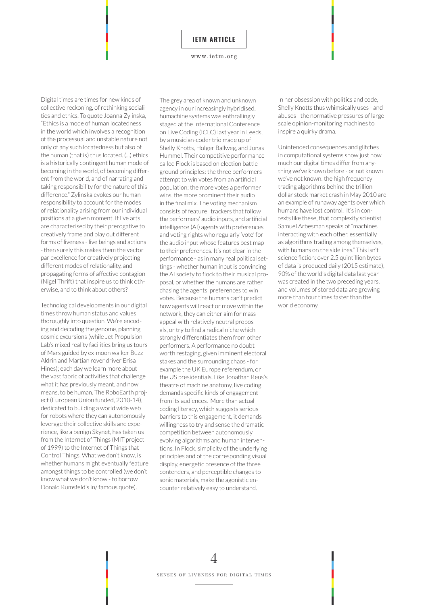www.ietm.org

Digital times are times for new kinds of collective reckoning, of rethinking socialities and ethics. To quote Joanna Zylinska, "Ethics is a mode of human locatedness in the world which involves a recognition of the processual and unstable nature not only of any such locatedness but also of the human (that is) thus located. (...) ethics is a historically contingent human mode of becoming in the world, of becoming different from the world, and of narrating and taking responsibility for the nature of this difference." Zylinska evokes our human responsibility to account for the modes of relationality arising from our individual positions at a given moment. If live arts are characterised by their prerogative to creatively frame and play out different forms of liveness - live beings and actions - then surely this makes them the vector par excellence for creatively projecting different modes of relationality, and propagating forms of affective contagion (Nigel Thrift) that inspire us to think otherwise, and to think about others?

Technological developments in our digital times throw human status and values thoroughly into question. We're encoding and decoding the genome, planning cosmic excursions (while Jet Propulsion Lab's mixed reality facilities bring us tours of Mars guided by ex-moon walker Buzz Aldrin and Martian rover driver Erisa Hines); each day we learn more about the vast fabric of activities that challenge what it has previously meant, and now means, to be human. The RoboEarth project (European Union funded, 2010-14), dedicated to building a world wide web for robots where they can autonomously leverage their collective skills and experience, like a benign Skynet, has taken us from the Internet of Things (MIT project of 1999) to the Internet of Things that Control Things. What we don't know, is whether humans might eventually feature amongst things to be controlled (we don't know what we don't know - to borrow Donald Rumsfeld's in/ famous quote).

The grey area of known and unknown agency in our increasingly hybridised, humachine systems was enthrallingly staged at the International Conference on Live Coding (ICLC) last year in Leeds, by a musician-coder trio made up of Shelly Knotts, Holger Ballweg, and Jonas Hummel. Their competitive performance called Flock is based on election battleground principles: the three performers attempt to win votes from an artificial population: the more votes a performer wins, the more prominent their audio in the final mix. The voting mechanism consists of feature trackers that follow the performers' audio inputs, and artificial intelligence (AI) agents with preferences and voting rights who regularly 'vote' for the audio input whose features best map to their preferences. It's not clear in the performance - as in many real political settings - whether human input is convincing the AI society to flock to their musical proposal, or whether the humans are rather chasing the agents' preferences to win votes. Because the humans can't predict how agents will react or move within the network, they can either aim for mass appeal with relatively neutral proposals, or try to find a radical niche which strongly differentiates them from other performers. A performance no doubt worth restaging, given imminent electoral stakes and the surrounding chaos - for example the UK Europe referendum, or the US presidentials. Like Jonathan Reus's theatre of machine anatomy, live coding demands specific kinds of engagement from its audiences. More than actual coding literacy, which suggests serious barriers to this engagement, it demands willingness to try and sense the dramatic competition between autonomously evolving algorithms and human interventions. In Flock, simplicity of the underlying principles and of the corresponding visual display, energetic presence of the three contenders, and perceptible changes to sonic materials, make the agonistic encounter relatively easy to understand.

In her obsession with politics and code, Shelly Knotts thus whimsically uses - and abuses - the normative pressures of largescale opinion-monitoring machines to inspire a quirky drama.

Unintended consequences and glitches in computational systems show just how much our digital times differ from anything we've known before - or not known we've not known: the high frequency trading algorithms behind the trillion dollar stock market crash in May 2010 are an example of runaway agents over which humans have lost control. It's in contexts like these, that complexity scientist Samuel Arbesman speaks of "machines interacting with each other, essentially as algorithms trading among themselves, with humans on the sidelines." This isn't science fiction: over 2.5 quintillion bytes of data is produced daily (2015 estimate), 90% of the world's digital data last year was created in the two preceding years, and volumes of stored data are growing more than four times faster than the world economy.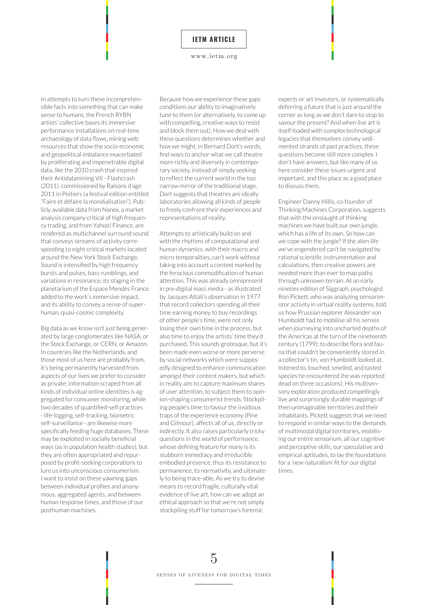#### www.ietm.org

In attempts to turn these incomprehensible facts into something that can make sense to humans, the French RYBN artists' collective bases its immersive performance installations on real-time archaeology of data flows, mining web resources that show the socio-economic and geopolitical imbalance exacerbated by proliferating and impenetrable digital data, like the 2010 crash that inspired their Antidatamining VII - Flashcrash (2011), commissioned by Raisons d'agir 2011 in Poitiers (a festival edition entitled "Faire et défaire la mondialisation"). Publicly available data from Nanex, a market analysis company critical of high frequency trading, and from Yahoo! Finance, are rendered as multichannel surround sound that conveys streams of activity corresponding to eight critical markets located around the New York Stock Exchange. Sound is intensified by high frequency bursts and pulses, bass rumblings, and variations in resonance; its staging in the planetarium of the Espace Mendès France added to the work's immersive impact, and its ability to convey a sense of superhuman, quasi-cosmic complexity.

Big data as we know isn't just being generated by large conglomerates like NASA, or the Stock Exchange, or CERN, or Amazon. In countries like the Netherlands, and those most of us here are probably from, it's being permanently harvested from aspects of our lives we prefer to consider as private: information scraped from all kinds of individual online identities is aggregated for consumer monitoring, while two decades of quantified-self practices - life-logging, self-tracking, biometric self-surveillance - are likewise more specifically feeding huge databases. These may be exploited in socially beneficial ways (as in population health studies), but they are often appropriated and repurposed by profit-seeking corporations to lure us into unconscious consumerism. I want to insist on these yawning gaps between individual profiles and anonymous, aggregated agents, and between human response times, and those of our posthuman machines.

Because how we experience these gaps conditions our ability to imaginatively tune to them (or alternatively, to come up with compelling, creative ways to resist and block them out). How we deal with these questions determines whether and how we might, in Bernard Dort's words, find ways to anchor what we call theatre more richly and diversely in contemporary society, instead of simply seeking to reflect the current world in the too narrow mirror of the traditional stage. Dort suggests that theatres are ideally laboratories allowing all kinds of people to freely confront their experiences and representations of reality.

Attempts to artistically build on and with the rhythms of computational and human dynamics, with their macro and micro temporalities, can't work without taking into account a context marked by the ferocious commodification of human attention. This was already omnipresent in pre-digital mass media - as illustrated by Jacques Attali's observation in 1977 that record collectors spending all their time earning money to buy recordings of other people's time, were not only losing their own time in the process, but also time to enjoy the artists' time they'd purchased. This sounds grotesque, but it's been made even worse or more perverse by social networks which were supposedly designed to enhance communication amongst their content makers, but which in reality aim to capture maximum shares of user attention, to subject them to opinion-shaping consumerist trends. Stockpiling people's time to favour the insidious traps of the experience economy (Pine and Gilmour), affects all of us, directly or indirectly. It also raises particularly tricky questions in the world of performance, whose defining feature for many is its stubborn immediacy and irreducible embodied presence, thus its resistance to permanence, to normativity, and ultimately to being trace-able. As we try to devise means to record fragile, culturally vital evidence of live art, how can we adopt an ethical approach so that we're not simply stockpiling stuff for tomorrow's forensic

experts or art investors, or systematically deferring a future that is just around the corner as long as we don't dare to stop to savour the present? And when live art is itself loaded with complex technological legacies that themselves convey sedimented strands of past practices, these questions become still more complex. I don't have answers, but like many of us here consider these issues urgent and important, and this place as a good place to discuss them.

Engineer Danny Hillis, co-founder of Thinking Machines Corporation, suggests that with the onslaught of thinking machines we have built our own jungle, which has a life of its own. So how can we cope with the jungle? If the alien life we've engendered can't be navigated by rational scientiic instrumentation and calculations, then creative powers are needed more than ever to map paths through unknown terrain. At an early nineties edition of Siggraph, psychologist Ron Pickett, who was analyzing sensorimotor activity in virtual reality systems, told us how Prussian explorer Alexander von Humboldt had to mobilise all his senses when journeying into uncharted depths of the Americas at the turn of the nineteenth century (1799): to describe flora and fauna that couldn't be conveniently stored in a collector's tin, von Humboldt looked at, listened to, touched, smelled, and tasted species he encountered (he was reported dead on three occasions). His multisensory exploration produced compellingly live and surprisingly durable mappings of then unimaginable territories and their inhabitants. Pickett suggests that we need to respond in similar ways to the demands of multimodal digital territories, mobilising our entire sensorium, all our cognitive and perceptive skills, our speculative and empirical aptitudes, to lay the foundations for a 'new naturalism' fit for our digital times.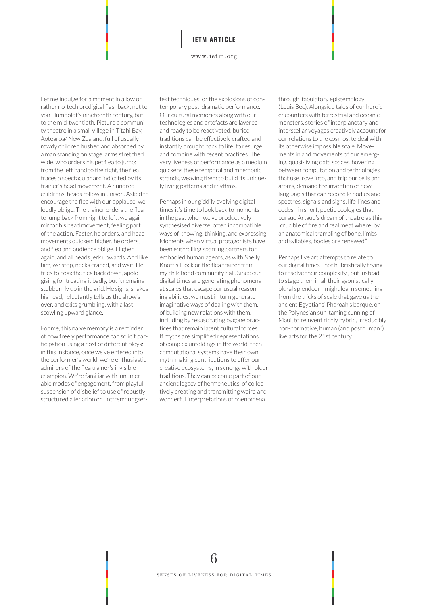#### www.ietm.org

Let me indulge for a moment in a low or rather no-tech predigital flashback, not to von Humboldt's nineteenth century, but to the mid-twentieth. Picture a community theatre in a small village in Titahi Bay, Aotearoa/ New Zealand, full of usually rowdy children hushed and absorbed by a man standing on stage, arms stretched wide, who orders his pet flea to jump: from the left hand to the right, the flea traces a spectacular arc indicated by its trainer's head movement. A hundred childrens' heads follow in unison. Asked to encourage the flea with our applause, we loudly oblige. The trainer orders the flea to jump back from right to left; we again mirror his head movement, feeling part of the action. Faster, he orders, and head movements quicken; higher, he orders, and flea and audience oblige. Higher again, and all heads jerk upwards. And like him, we stop, necks craned, and wait. He tries to coax the flea back down, apologising for treating it badly, but it remains stubbornly up in the grid. He sighs, shakes his head, reluctantly tells us the show's over, and exits grumbling, with a last scowling upward glance.

For me, this naive memory is a reminder of how freely performance can solicit participation using a host of different ploys: in this instance, once we've entered into the performer's world, we're enthusiastic admirers of the flea trainer's invisible champion. We're familiar with innumerable modes of engagement, from playful suspension of disbelief to use of robustly structured alienation or Entfremdungseffekt techniques, or the explosions of contemporary post-dramatic performance. Our cultural memories along with our technologies and artefacts are layered and ready to be reactivated: buried traditions can be effectively crafted and instantly brought back to life, to resurge and combine with recent practices. The very liveness of performance as a medium quickens these temporal and mnemonic strands, weaving them to build its uniquely living patterns and rhythms.

Perhaps in our giddily evolving digital times it's time to look back to moments in the past when we've productively synthesised diverse, often incompatible ways of knowing, thinking, and expressing. Moments when virtual protagonists have been enthralling sparring partners for embodied human agents, as with Shelly Knott's Flock or the flea trainer from my childhood community hall. Since our digital times are generating phenomena at scales that escape our usual reasoning abilities, we must in turn generate imaginative ways of dealing with them, of building new relations with them, including by resuscitating bygone practices that remain latent cultural forces. If myths are simplified representations of complex unfoldings in the world, then computational systems have their own myth-making contributions to offer our creative ecosystems, in synergy with older traditions. They can become part of our ancient legacy of hermeneutics, of collectively creating and transmitting weird and wonderful interpretations of phenomena

through 'fabulatory epistemology' (Louis Bec). Alongside tales of our heroic encounters with terrestrial and oceanic monsters, stories of interplanetary and interstellar voyages creatively account for our relations to the cosmos, to deal with its otherwise impossible scale. Movements in and movements of our emerging, quasi-living data spaces, hovering between computation and technologies that use, rove into, and trip our cells and atoms, demand the invention of new languages that can reconcile bodies and spectres, signals and signs, life-lines and codes - in short, poetic ecologies that pursue Artaud's dream of theatre as this "crucible of ire and real meat where, by an anatomical trampling of bone, limbs and syllables, bodies are renewed."

Perhaps live art attempts to relate to our digital times - not hubristically trying to resolve their complexity , but instead to stage them in all their agonistically plural splendour - might learn something from the tricks of scale that gave us the ancient Egyptians' Pharoah's barque, or the Polynesian sun-taming cunning of Maui, to reinvent richly hybrid, irreducibly non-normative, human (and posthuman?) live arts for the 21st century.